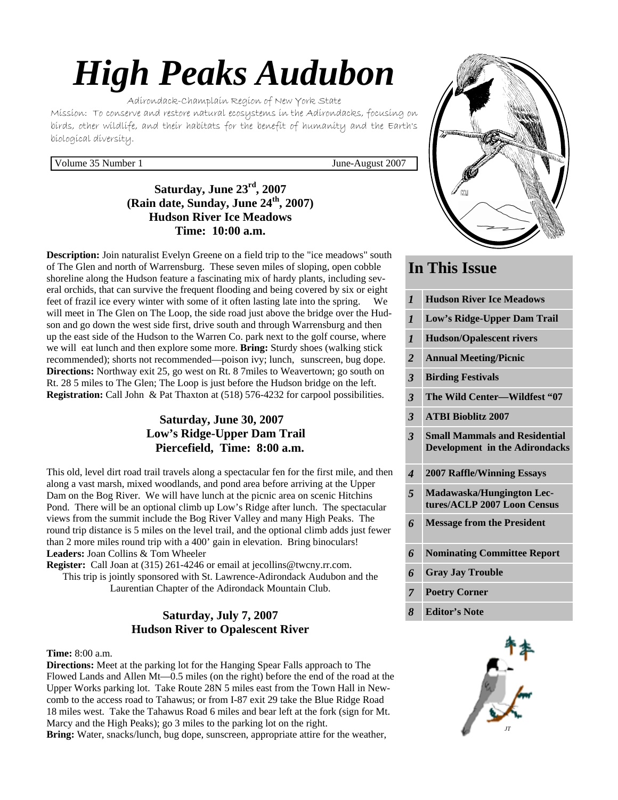# *High Peaks Audubon*

Adirondack-Champlain Region of New York State Mission: To conserve and restore natural ecosystems in the Adirondacks, focusing on birds, other wildlife, and their habitats for the benefit of humanity and the Earth's biological diversity.

#### Volume 35 Number 1 June-August 2007

# **Saturday, June 23rd, 2007 (Rain date, Sunday, June 24th, 2007) Hudson River Ice Meadows Time: 10:00 a.m.**

**Description:** Join naturalist Evelyn Greene on a field trip to the "ice meadows" south of The Glen and north of Warrensburg. These seven miles of sloping, open cobble shoreline along the Hudson feature a fascinating mix of hardy plants, including several orchids, that can survive the frequent flooding and being covered by six or eight feet of frazil ice every winter with some of it often lasting late into the spring. We will meet in The Glen on The Loop, the side road just above the bridge over the Hudson and go down the west side first, drive south and through Warrensburg and then up the east side of the Hudson to the Warren Co. park next to the golf course, where we will eat lunch and then explore some more. **Bring:** Sturdy shoes (walking stick recommended); shorts not recommended—poison ivy; lunch, sunscreen, bug dope. **Directions:** Northway exit 25, go west on Rt. 8 7miles to Weavertown; go south on Rt. 28 5 miles to The Glen; The Loop is just before the Hudson bridge on the left. **Registration:** Call John & Pat Thaxton at (518) 576-4232 for carpool possibilities.

# **Saturday, June 30, 2007 Low's Ridge-Upper Dam Trail Piercefield, Time: 8:00 a.m.**

This old, level dirt road trail travels along a spectacular fen for the first mile, and then along a vast marsh, mixed woodlands, and pond area before arriving at the Upper Dam on the Bog River. We will have lunch at the picnic area on scenic Hitchins Pond. There will be an optional climb up Low's Ridge after lunch. The spectacular views from the summit include the Bog River Valley and many High Peaks. The round trip distance is 5 miles on the level trail, and the optional climb adds just fewer than 2 more miles round trip with a 400' gain in elevation. Bring binoculars! **Leaders:** Joan Collins & Tom Wheeler

**Register:** Call Joan at (315) 261-4246 or email at jecollins@twcny.rr.com. This trip is jointly sponsored with St. Lawrence-Adirondack Audubon and the Laurentian Chapter of the Adirondack Mountain Club.

# **Saturday, July 7, 2007 Hudson River to Opalescent River**

#### **Time:** 8:00 a.m.

**Directions:** Meet at the parking lot for the Hanging Spear Falls approach to The Flowed Lands and Allen Mt—0.5 miles (on the right) before the end of the road at the Upper Works parking lot. Take Route 28N 5 miles east from the Town Hall in Newcomb to the access road to Tahawus; or from I-87 exit 29 take the Blue Ridge Road 18 miles west. Take the Tahawus Road 6 miles and bear left at the fork (sign for Mt. Marcy and the High Peaks); go 3 miles to the parking lot on the right. **Bring:** Water, snacks/lunch, bug dope, sunscreen, appropriate attire for the weather,



# **In This Issue**

| $\boldsymbol{l}$        | <b>Hudson River Ice Meadows</b>                                               |
|-------------------------|-------------------------------------------------------------------------------|
| $\mathbf{I}$            | Low's Ridge-Upper Dam Trail                                                   |
| $\boldsymbol{l}$        | <b>Hudson/Opalescent rivers</b>                                               |
| $\overline{2}$          | <b>Annual Meeting/Picnic</b>                                                  |
| $\overline{\mathbf{3}}$ | <b>Birding Festivals</b>                                                      |
| $\overline{\mathbf{3}}$ | The Wild Center-Wildfest "07                                                  |
| $\overline{\mathbf{3}}$ | <b>ATBI Bioblitz 2007</b>                                                     |
| $\overline{3}$          | <b>Small Mammals and Residential</b><br><b>Development in the Adirondacks</b> |
|                         |                                                                               |
| $\boldsymbol{4}$        | <b>2007 Raffle/Winning Essays</b>                                             |
| 5                       | Madawaska/Hungington Lec-<br>tures/ACLP 2007 Loon Census                      |
| 6                       | <b>Message from the President</b>                                             |
| 6                       | <b>Nominating Committee Report</b>                                            |
| 6                       | <b>Gray Jay Trouble</b>                                                       |
| $\overline{7}$          | <b>Poetry Corner</b>                                                          |

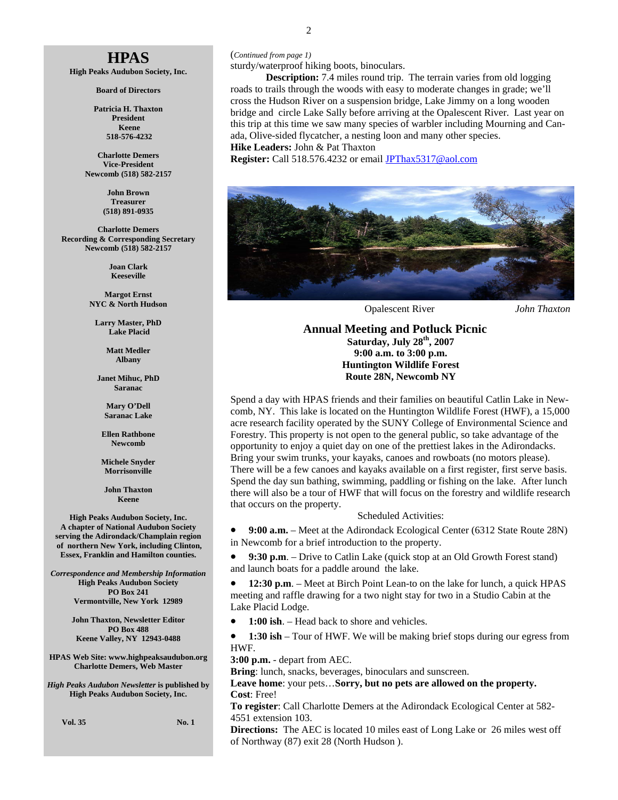# **HPAS**

**High Peaks Audubon Society, Inc.** 

**Board of Directors** 

**Patricia H. Thaxton President Keene 518-576-4232** 

**Charlotte Demers Vice-President Newcomb (518) 582-2157** 

> **John Brown Treasurer (518) 891-0935**

**Charlotte Demers Recording & Corresponding Secretary Newcomb (518) 582-2157** 

> **Joan Clark Keeseville**

**Margot Ernst NYC & North Hudson** 

**Larry Master, PhD Lake Placid** 

> **Matt Medler Albany**

**Janet Mihuc, PhD Saranac** 

> **Mary O'Dell Saranac Lake**

**Ellen Rathbone Newcomb** 

**Michele Snyder Morrisonville** 

**John Thaxton Keene** 

**High Peaks Audubon Society, Inc. A chapter of National Audubon Society serving the Adirondack/Champlain region of northern New York, including Clinton, Essex, Franklin and Hamilton counties.** 

*Correspondence and Membership Information* **High Peaks Audubon Society PO Box 241 Vermontville, New York 12989** 

> **John Thaxton, Newsletter Editor PO Box 488 Keene Valley, NY 12943-0488**

**HPAS Web Site: www.highpeaksaudubon.org Charlotte Demers, Web Master** 

*High Peaks Audubon Newsletter* **is published by High Peaks Audubon Society, Inc.** 

**Vol. 35 No. 1** 

(*Continued from page 1)* 

sturdy/waterproof hiking boots, binoculars.

 **Description:** 7.4 miles round trip. The terrain varies from old logging roads to trails through the woods with easy to moderate changes in grade; we'll cross the Hudson River on a suspension bridge, Lake Jimmy on a long wooden bridge and circle Lake Sally before arriving at the Opalescent River. Last year on this trip at this time we saw many species of warbler including Mourning and Canada, Olive-sided flycatcher, a nesting loon and many other species. **Hike Leaders:** John & Pat Thaxton

**Register:** Call 518.576.4232 or email JPThax5317@aol.com



Opalescent River *John Thaxton*

 **Annual Meeting and Potluck Picnic Saturday, July 28th, 2007 9:00 a.m. to 3:00 p.m. Huntington Wildlife Forest Route 28N, Newcomb NY** 

Spend a day with HPAS friends and their families on beautiful Catlin Lake in Newcomb, NY. This lake is located on the Huntington Wildlife Forest (HWF), a 15,000 acre research facility operated by the SUNY College of Environmental Science and Forestry. This property is not open to the general public, so take advantage of the opportunity to enjoy a quiet day on one of the prettiest lakes in the Adirondacks. Bring your swim trunks, your kayaks, canoes and rowboats (no motors please). There will be a few canoes and kayaks available on a first register, first serve basis. Spend the day sun bathing, swimming, paddling or fishing on the lake. After lunch there will also be a tour of HWF that will focus on the forestry and wildlife research that occurs on the property.

#### Scheduled Activities:

• **9:00 a.m.** – Meet at the Adirondack Ecological Center (6312 State Route 28N) in Newcomb for a brief introduction to the property.

• **9:30 p.m**. – Drive to Catlin Lake (quick stop at an Old Growth Forest stand) and launch boats for a paddle around the lake.

• **12:30 p.m**. – Meet at Birch Point Lean-to on the lake for lunch, a quick HPAS meeting and raffle drawing for a two night stay for two in a Studio Cabin at the Lake Placid Lodge.

• **1:00 ish**. – Head back to shore and vehicles.

• **1:30 ish** – Tour of HWF. We will be making brief stops during our egress from HWF.

**3:00 p.m.** - depart from AEC.

**Bring**: lunch, snacks, beverages, binoculars and sunscreen.

**Leave home**: your pets…**Sorry, but no pets are allowed on the property. Cost**: Free!

**To register**: Call Charlotte Demers at the Adirondack Ecological Center at 582- 4551 extension 103.

**Directions:** The AEC is located 10 miles east of Long Lake or 26 miles west off of Northway (87) exit 28 (North Hudson ).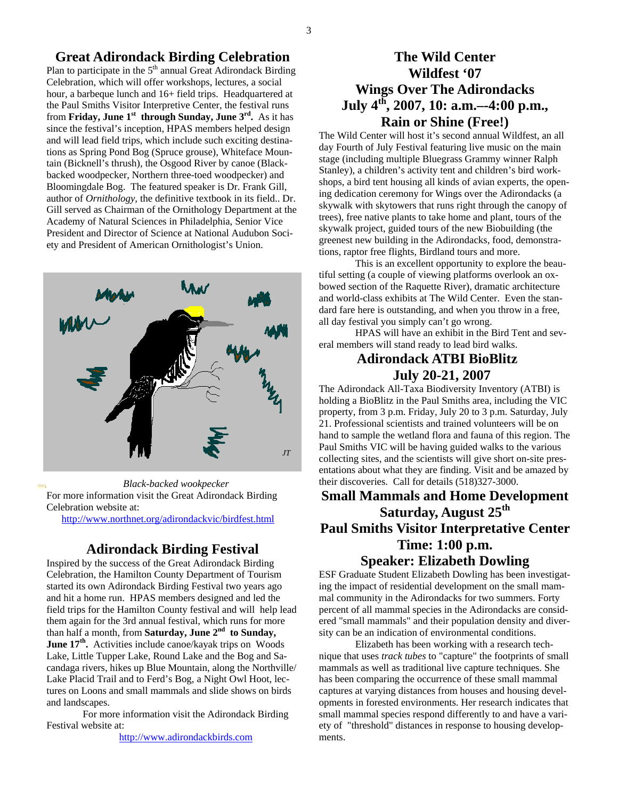#### **Great Adirondack Birding Celebration**

Plan to participate in the  $5<sup>th</sup>$  annual Great Adirondack Birding Celebration, which will offer workshops, lectures, a social hour, a barbeque lunch and  $16+$  field trips. Headquartered at the Paul Smiths Visitor Interpretive Center, the festival runs from **Friday, June 1st through Sunday, June 3rd.** As it has since the festival's inception, HPAS members helped design and will lead field trips, which include such exciting destinations as Spring Pond Bog (Spruce grouse), Whiteface Mountain (Bicknell's thrush), the Osgood River by canoe (Blackbacked woodpecker, Northern three-toed woodpecker) and Bloomingdale Bog. The featured speaker is Dr. Frank Gill, author of *Ornithology,* the definitive textbook in its field.. Dr. Gill served as Chairman of the Ornithology Department at the Academy of Natural Sciences in Philadelphia, Senior Vice President and Director of Science at National Audubon Society and President of American Ornithologist's Union.

# *JT*

 *Black-backed wookpecker* For more information visit the Great Adirondack Birding Celebration website at:

http://www.northnet.org/adirondackvic/birdfest.html

## **Adirondack Birding Festival**

Inspired by the success of the Great Adirondack Birding Celebration, the Hamilton County Department of Tourism started its own Adirondack Birding Festival two years ago and hit a home run. HPAS members designed and led the field trips for the Hamilton County festival and will help lead them again for the 3rd annual festival, which runs for more than half a month, from **Saturday**, **June 2<sup>nd</sup> to Sunday**, **June 17th.** Activities include canoe/kayak trips on Woods Lake, Little Tupper Lake, Round Lake and the Bog and Sacandaga rivers, hikes up Blue Mountain, along the Northville/ Lake Placid Trail and to Ferd's Bog, a Night Owl Hoot, lectures on Loons and small mammals and slide shows on birds and landscapes.

 For more information visit the Adirondack Birding Festival website at:

http://www.adirondackbirds.com

# **The Wild Center Wildfest '07 Wings Over The Adirondacks July 4th, 2007, 10: a.m.–-4:00 p.m., Rain or Shine (Free!)**

The Wild Center will host it's second annual Wildfest, an all day Fourth of July Festival featuring live music on the main stage (including multiple Bluegrass Grammy winner Ralph Stanley), a children's activity tent and children's bird workshops, a bird tent housing all kinds of avian experts, the opening dedication ceremony for Wings over the Adirondacks (a skywalk with skytowers that runs right through the canopy of trees), free native plants to take home and plant, tours of the skywalk project, guided tours of the new Biobuilding (the greenest new building in the Adirondacks, food, demonstrations, raptor free flights, Birdland tours and more.

 This is an excellent opportunity to explore the beautiful setting (a couple of viewing platforms overlook an oxbowed section of the Raquette River), dramatic architecture and world-class exhibits at The Wild Center. Even the standard fare here is outstanding, and when you throw in a free, all day festival you simply can't go wrong.

 HPAS will have an exhibit in the Bird Tent and several members will stand ready to lead bird walks.

# **Adirondack ATBI BioBlitz July 20-21, 2007**

The Adirondack All-Taxa Biodiversity Inventory (ATBI) is holding a BioBlitz in the Paul Smiths area, including the VIC property, from 3 p.m. Friday, July 20 to 3 p.m. Saturday, July 21. Professional scientists and trained volunteers will be on hand to sample the wetland flora and fauna of this region. The Paul Smiths VIC will be having guided walks to the various collecting sites, and the scientists will give short on-site presentations about what they are finding. Visit and be amazed by their discoveries. Call for details (518)327-3000.

# **Small Mammals and Home Development Saturday, August 25th Paul Smiths Visitor Interpretative Center Time: 1:00 p.m. Speaker: Elizabeth Dowling**

ESF Graduate Student Elizabeth Dowling has been investigating the impact of residential development on the small mammal community in the Adirondacks for two summers. Forty percent of all mammal species in the Adirondacks are considered "small mammals" and their population density and diversity can be an indication of environmental conditions.

 Elizabeth has been working with a research technique that uses *track tubes* to "capture" the footprints of small mammals as well as traditional live capture techniques. She has been comparing the occurrence of these small mammal captures at varying distances from houses and housing developments in forested environments. Her research indicates that small mammal species respond differently to and have a variety of "threshold" distances in response to housing developments.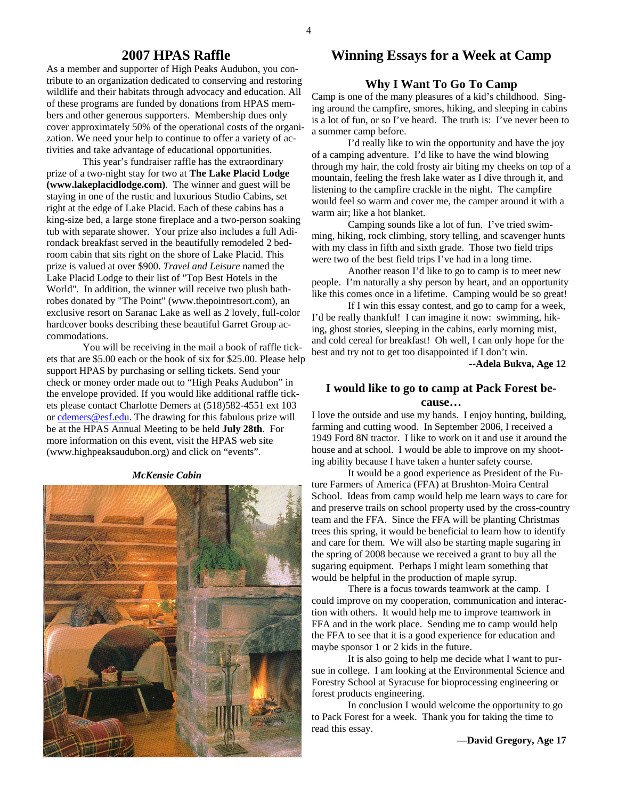#### **2007 HPAS Raffle**

As a member and supporter of High Peaks Audubon, you contribute to an organization dedicated to conserving and restoring wildlife and their habitats through advocacy and education. All of these programs are funded by donations from HPAS members and other generous supporters. Membership dues only cover approximately 50% of the operational costs of the organization. We need your help to continue to offer a variety of activities and take advantage of educational opportunities.

 This year's fundraiser raffle has the extraordinary prize of a two-night stay for two at **The Lake Placid Lodge (www.lakeplacidlodge.com)**. The winner and guest will be staying in one of the rustic and luxurious Studio Cabins, set right at the edge of Lake Placid. Each of these cabins has a king-size bed, a large stone fireplace and a two-person soaking tub with separate shower. Your prize also includes a full Adirondack breakfast served in the beautifully remodeled 2 bedroom cabin that sits right on the shore of Lake Placid. This prize is valued at over \$900. *Travel and Leisure* named the Lake Placid Lodge to their list of "Top Best Hotels in the World". In addition, the winner will receive two plush bathrobes donated by "The Point" (www.thepointresort.com), an exclusive resort on Saranac Lake as well as 2 lovely, full-color hardcover books describing these beautiful Garret Group accommodations.

 You will be receiving in the mail a book of raffle tickets that are \$5.00 each or the book of six for \$25.00. Please help support HPAS by purchasing or selling tickets. Send your check or money order made out to "High Peaks Audubon" in the envelope provided. If you would like additional raffle tickets please contact Charlotte Demers at (518)582-4551 ext 103 or cdemers@esf.edu. The drawing for this fabulous prize will be at the HPAS Annual Meeting to be held **July 28th**. For more information on this event, visit the HPAS web site (www.highpeaksaudubon.org) and click on "events".

#### *McKensie Cabin*



# **Winning Essays for a Week at Camp**

#### **Why I Want To Go To Camp**

Camp is one of the many pleasures of a kid's childhood. Singing around the campfire, smores, hiking, and sleeping in cabins is a lot of fun, or so I've heard. The truth is: I've never been to a summer camp before.

 I'd really like to win the opportunity and have the joy of a camping adventure. I'd like to have the wind blowing through my hair, the cold frosty air biting my cheeks on top of a mountain, feeling the fresh lake water as I dive through it, and listening to the campfire crackle in the night. The campfire would feel so warm and cover me, the camper around it with a warm air; like a hot blanket.

 Camping sounds like a lot of fun. I've tried swimming, hiking, rock climbing, story telling, and scavenger hunts with my class in fifth and sixth grade. Those two field trips were two of the best field trips I've had in a long time.

 Another reason I'd like to go to camp is to meet new people. I'm naturally a shy person by heart, and an opportunity like this comes once in a lifetime. Camping would be so great!

 If I win this essay contest, and go to camp for a week, I'd be really thankful! I can imagine it now: swimming, hiking, ghost stories, sleeping in the cabins, early morning mist, and cold cereal for breakfast! Oh well, I can only hope for the best and try not to get too disappointed if I don't win.

**--Adela Bukva, Age 12** 

#### **I would like to go to camp at Pack Forest because…**

I love the outside and use my hands. I enjoy hunting, building, farming and cutting wood. In September 2006, I received a 1949 Ford 8N tractor. I like to work on it and use it around the house and at school. I would be able to improve on my shooting ability because I have taken a hunter safety course.

 It would be a good experience as President of the Future Farmers of America (FFA) at Brushton-Moira Central School. Ideas from camp would help me learn ways to care for and preserve trails on school property used by the cross-country team and the FFA. Since the FFA will be planting Christmas trees this spring, it would be beneficial to learn how to identify and care for them. We will also be starting maple sugaring in the spring of 2008 because we received a grant to buy all the sugaring equipment. Perhaps I might learn something that would be helpful in the production of maple syrup.

 There is a focus towards teamwork at the camp. I could improve on my cooperation, communication and interaction with others. It would help me to improve teamwork in FFA and in the work place. Sending me to camp would help the FFA to see that it is a good experience for education and maybe sponsor 1 or 2 kids in the future.

 It is also going to help me decide what I want to pursue in college. I am looking at the Environmental Science and Forestry School at Syracuse for bioprocessing engineering or forest products engineering.

 In conclusion I would welcome the opportunity to go to Pack Forest for a week. Thank you for taking the time to read this essay.

**—David Gregory, Age 17**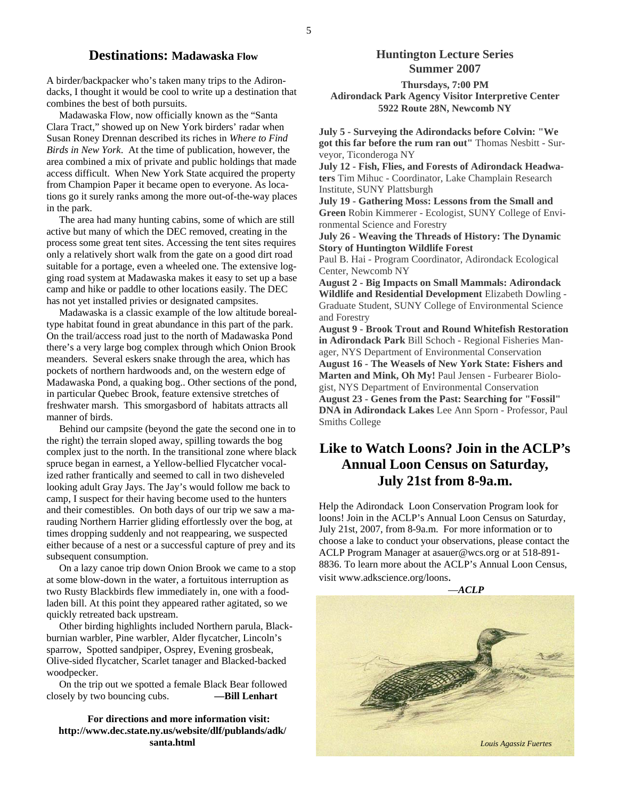#### **Destinations: Madawaska Flow**

A birder/backpacker who's taken many trips to the Adirondacks, I thought it would be cool to write up a destination that combines the best of both pursuits.

 Madawaska Flow, now officially known as the "Santa Clara Tract," showed up on New York birders' radar when Susan Roney Drennan described its riches in *Where to Find Birds in New York*. At the time of publication, however, the area combined a mix of private and public holdings that made access difficult. When New York State acquired the property from Champion Paper it became open to everyone. As locations go it surely ranks among the more out-of-the-way places in the park.

 The area had many hunting cabins, some of which are still active but many of which the DEC removed, creating in the process some great tent sites. Accessing the tent sites requires only a relatively short walk from the gate on a good dirt road suitable for a portage, even a wheeled one. The extensive logging road system at Madawaska makes it easy to set up a base camp and hike or paddle to other locations easily. The DEC has not yet installed privies or designated campsites.

 Madawaska is a classic example of the low altitude borealtype habitat found in great abundance in this part of the park. On the trail/access road just to the north of Madawaska Pond there's a very large bog complex through which Onion Brook meanders. Several eskers snake through the area, which has pockets of northern hardwoods and, on the western edge of Madawaska Pond, a quaking bog.. Other sections of the pond, in particular Quebec Brook, feature extensive stretches of freshwater marsh. This smorgasbord of habitats attracts all manner of birds.

 Behind our campsite (beyond the gate the second one in to the right) the terrain sloped away, spilling towards the bog complex just to the north. In the transitional zone where black spruce began in earnest, a Yellow-bellied Flycatcher vocalized rather frantically and seemed to call in two disheveled looking adult Gray Jays. The Jay's would follow me back to camp, I suspect for their having become used to the hunters and their comestibles. On both days of our trip we saw a marauding Northern Harrier gliding effortlessly over the bog, at times dropping suddenly and not reappearing, we suspected either because of a nest or a successful capture of prey and its subsequent consumption.

 On a lazy canoe trip down Onion Brook we came to a stop at some blow-down in the water, a fortuitous interruption as two Rusty Blackbirds flew immediately in, one with a foodladen bill. At this point they appeared rather agitated, so we quickly retreated back upstream.

 Other birding highlights included Northern parula, Blackburnian warbler, Pine warbler, Alder flycatcher, Lincoln's sparrow, Spotted sandpiper, Osprey, Evening grosbeak, Olive-sided flycatcher, Scarlet tanager and Blacked-backed woodpecker.

 On the trip out we spotted a female Black Bear followed closely by two bouncing cubs. **—Bill Lenhart** 

#### **For directions and more information visit: http://www.dec.state.ny.us/website/dlf/publands/adk/ santa.html**

#### **Huntington Lecture Series Summer 2007**

**Thursdays, 7:00 PM Adirondack Park Agency Visitor Interpretive Center 5922 Route 28N, Newcomb NY** 

**July 5 - Surveying the Adirondacks before Colvin: "We got this far before the rum ran out"** Thomas Nesbitt - Surveyor, Ticonderoga NY

**July 12 - Fish, Flies, and Forests of Adirondack Headwaters** Tim Mihuc - Coordinator, Lake Champlain Research Institute, SUNY Plattsburgh

**July 19 - Gathering Moss: Lessons from the Small and Green** Robin Kimmerer - Ecologist, SUNY College of Environmental Science and Forestry

**July 26 - Weaving the Threads of History: The Dynamic Story of Huntington Wildlife Forest**

Paul B. Hai - Program Coordinator, Adirondack Ecological Center, Newcomb NY

**August 2 - Big Impacts on Small Mammals: Adirondack Wildlife and Residential Development** Elizabeth Dowling - Graduate Student, SUNY College of Environmental Science and Forestry

**August 9 - Brook Trout and Round Whitefish Restoration in Adirondack Park** Bill Schoch - Regional Fisheries Manager, NYS Department of Environmental Conservation **August 16 - The Weasels of New York State: Fishers and Marten and Mink, Oh My!** Paul Jensen - Furbearer Biologist, NYS Department of Environmental Conservation **August 23 - Genes from the Past: Searching for "Fossil" DNA in Adirondack Lakes** Lee Ann Sporn - Professor, Paul Smiths College

# **Like to Watch Loons? Join in the ACLP's Annual Loon Census on Saturday, July 21st from 8-9a.m.**

Help the Adirondack Loon Conservation Program look for loons! Join in the ACLP's Annual Loon Census on Saturday, July 21st, 2007, from 8-9a.m. For more information or to choose a lake to conduct your observations, please contact the ACLP Program Manager at asauer@wcs.org or at 518-891- 8836. To learn more about the ACLP's Annual Loon Census, visit www.adkscience.org/loons.

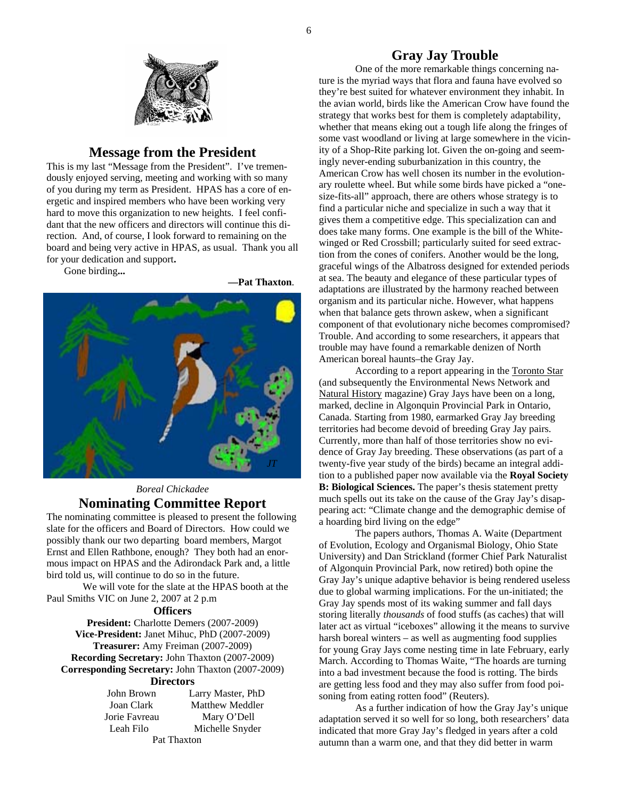

#### **Message from the President**

This is my last "Message from the President". I've tremendously enjoyed serving, meeting and working with so many of you during my term as President. HPAS has a core of energetic and inspired members who have been working very hard to move this organization to new heights. I feel confidant that the new officers and directors will continue this direction. And, of course, I look forward to remaining on the board and being very active in HPAS, as usual. Thank you all for your dedication and support**.** 

Gone birding**...** 

 **—Pat Thaxton**.



# *Boreal Chickadee*  **Nominating Committee Report**

The nominating committee is pleased to present the following slate for the officers and Board of Directors. How could we possibly thank our two departing board members, Margot Ernst and Ellen Rathbone, enough? They both had an enormous impact on HPAS and the Adirondack Park and, a little bird told us, will continue to do so in the future.

 We will vote for the slate at the HPAS booth at the Paul Smiths VIC on June 2, 2007 at 2 p.m

#### **Officers**

**President:** Charlotte Demers (2007-2009) **Vice-President:** Janet Mihuc, PhD (2007-2009) **Treasurer:** Amy Freiman (2007-2009) **Recording Secretary:** John Thaxton (2007-2009) **Corresponding Secretary:** John Thaxton (2007-2009)

#### **Directors**

| John Brown    | Larry Master, PhD |
|---------------|-------------------|
| Joan Clark    | Matthew Meddler   |
| Jorie Favreau | Mary O'Dell       |
| Leah Filo     | Michelle Snyder   |
| Pat Thaxton   |                   |

#### **Gray Jay Trouble**

 One of the more remarkable things concerning nature is the myriad ways that flora and fauna have evolved so they're best suited for whatever environment they inhabit. In the avian world, birds like the American Crow have found the strategy that works best for them is completely adaptability, whether that means eking out a tough life along the fringes of some vast woodland or living at large somewhere in the vicinity of a Shop-Rite parking lot. Given the on-going and seemingly never-ending suburbanization in this country, the American Crow has well chosen its number in the evolutionary roulette wheel. But while some birds have picked a "onesize-fits-all" approach, there are others whose strategy is to find a particular niche and specialize in such a way that it gives them a competitive edge. This specialization can and does take many forms. One example is the bill of the Whitewinged or Red Crossbill; particularly suited for seed extraction from the cones of conifers. Another would be the long, graceful wings of the Albatross designed for extended periods at sea. The beauty and elegance of these particular types of adaptations are illustrated by the harmony reached between organism and its particular niche. However, what happens when that balance gets thrown askew, when a significant component of that evolutionary niche becomes compromised? Trouble. And according to some researchers, it appears that trouble may have found a remarkable denizen of North American boreal haunts–the Gray Jay.

 According to a report appearing in the Toronto Star (and subsequently the Environmental News Network and Natural History magazine) Gray Jays have been on a long, marked, decline in Algonquin Provincial Park in Ontario, Canada. Starting from 1980, earmarked Gray Jay breeding territories had become devoid of breeding Gray Jay pairs. Currently, more than half of those territories show no evidence of Gray Jay breeding. These observations (as part of a twenty-five year study of the birds) became an integral addition to a published paper now available via the **Royal Society B: Biological Sciences.** The paper's thesis statement pretty much spells out its take on the cause of the Gray Jay's disappearing act: "Climate change and the demographic demise of a hoarding bird living on the edge"

 The papers authors, Thomas A. Waite (Department of Evolution, Ecology and Organismal Biology, Ohio State University) and Dan Strickland (former Chief Park Naturalist of Algonquin Provincial Park, now retired) both opine the Gray Jay's unique adaptive behavior is being rendered useless due to global warming implications. For the un-initiated; the Gray Jay spends most of its waking summer and fall days storing literally *thousands* of food stuffs (as caches) that will later act as virtual "iceboxes" allowing it the means to survive harsh boreal winters – as well as augmenting food supplies for young Gray Jays come nesting time in late February, early March. According to Thomas Waite, "The hoards are turning into a bad investment because the food is rotting. The birds are getting less food and they may also suffer from food poisoning from eating rotten food" (Reuters).

As a further indication of how the Gray Jay's unique adaptation served it so well for so long, both researchers' data indicated that more Gray Jay's fledged in years after a cold autumn than a warm one, and that they did better in warm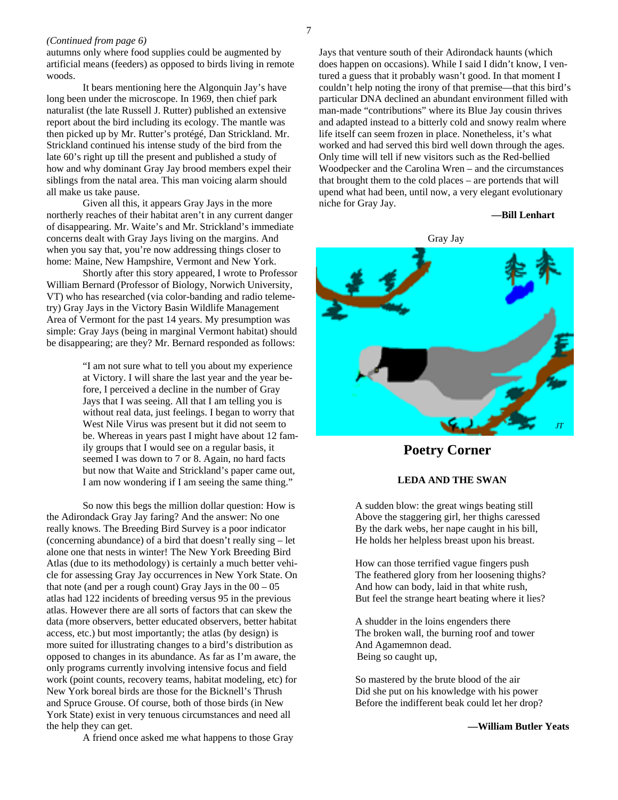niche for Gray Jay.

#### *(Continued from page 6)*

autumns only where food supplies could be augmented by artificial means (feeders) as opposed to birds living in remote woods.

It bears mentioning here the Algonquin Jay's have long been under the microscope. In 1969, then chief park naturalist (the late Russell J. Rutter) published an extensive report about the bird including its ecology. The mantle was then picked up by Mr. Rutter's protégé, Dan Strickland. Mr. Strickland continued his intense study of the bird from the late 60's right up till the present and published a study of how and why dominant Gray Jay brood members expel their siblings from the natal area. This man voicing alarm should all make us take pause.

 Given all this, it appears Gray Jays in the more northerly reaches of their habitat aren't in any current danger of disappearing. Mr. Waite's and Mr. Strickland's immediate concerns dealt with Gray Jays living on the margins. And when you say that, you're now addressing things closer to home: Maine, New Hampshire, Vermont and New York.

 Shortly after this story appeared, I wrote to Professor William Bernard (Professor of Biology, Norwich University, VT) who has researched (via color-banding and radio telemetry) Gray Jays in the Victory Basin Wildlife Management Area of Vermont for the past 14 years. My presumption was simple: Gray Jays (being in marginal Vermont habitat) should be disappearing; are they? Mr. Bernard responded as follows:

> "I am not sure what to tell you about my experience at Victory. I will share the last year and the year before, I perceived a decline in the number of Gray Jays that I was seeing. All that I am telling you is without real data, just feelings. I began to worry that West Nile Virus was present but it did not seem to be. Whereas in years past I might have about 12 family groups that I would see on a regular basis, it seemed I was down to 7 or 8. Again, no hard facts but now that Waite and Strickland's paper came out, I am now wondering if I am seeing the same thing."

 So now this begs the million dollar question: How is the Adirondack Gray Jay faring? And the answer: No one really knows. The Breeding Bird Survey is a poor indicator (concerning abundance) of a bird that doesn't really sing – let alone one that nests in winter! The New York Breeding Bird Atlas (due to its methodology) is certainly a much better vehicle for assessing Gray Jay occurrences in New York State. On that note (and per a rough count) Gray Jays in the  $00 - 05$ atlas had 122 incidents of breeding versus 95 in the previous atlas. However there are all sorts of factors that can skew the data (more observers, better educated observers, better habitat access, etc.) but most importantly; the atlas (by design) is more suited for illustrating changes to a bird's distribution as opposed to changes in its abundance. As far as I'm aware, the only programs currently involving intensive focus and field work (point counts, recovery teams, habitat modeling, etc) for New York boreal birds are those for the Bicknell's Thrush and Spruce Grouse. Of course, both of those birds (in New York State) exist in very tenuous circumstances and need all the help they can get.

Jays that venture south of their Adirondack haunts (which does happen on occasions). While I said I didn't know, I ventured a guess that it probably wasn't good. In that moment I couldn't help noting the irony of that premise—that this bird's particular DNA declined an abundant environment filled with man-made "contributions" where its Blue Jay cousin thrives and adapted instead to a bitterly cold and snowy realm where life itself can seem frozen in place. Nonetheless, it's what worked and had served this bird well down through the ages. Only time will tell if new visitors such as the Red-bellied Woodpecker and the Carolina Wren – and the circumstances that brought them to the cold places – are portends that will upend what had been, until now, a very elegant evolutionary

 **—Bill Lenhart** 



## **Poetry Corner**

#### **LEDA AND THE SWAN**

 A sudden blow: the great wings beating still Above the staggering girl, her thighs caressed By the dark webs, her nape caught in his bill, He holds her helpless breast upon his breast.

 How can those terrified vague fingers push The feathered glory from her loosening thighs? And how can body, laid in that white rush, But feel the strange heart beating where it lies?

 A shudder in the loins engenders there The broken wall, the burning roof and tower And Agamemnon dead. Being so caught up,

 So mastered by the brute blood of the air Did she put on his knowledge with his power Before the indifferent beak could let her drop?

**—William Butler Yeats** 

A friend once asked me what happens to those Gray